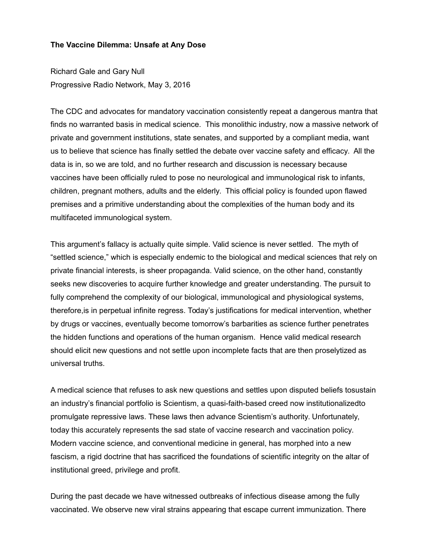## **The Vaccine Dilemma: Unsafe at Any Dose**

Richard Gale and Gary Null Progressive Radio Network, May 3, 2016

The CDC and advocates for mandatory vaccination consistently repeat a dangerous mantra that finds no warranted basis in medical science. This monolithic industry, now a massive network of private and government institutions, state senates, and supported by a compliant media, want us to believe that science has finally settled the debate over vaccine safety and efficacy. All the data is in, so we are told, and no further research and discussion is necessary because vaccines have been officially ruled to pose no neurological and immunological risk to infants, children, pregnant mothers, adults and the elderly. This official policy is founded upon flawed premises and a primitive understanding about the complexities of the human body and its multifaceted immunological system.

This argument's fallacy is actually quite simple. Valid science is never settled. The myth of "settled science," which is especially endemic to the biological and medical sciences that rely on private financial interests, is sheer propaganda. Valid science, on the other hand, constantly seeks new discoveries to acquire further knowledge and greater understanding. The pursuit to fully comprehend the complexity of our biological, immunological and physiological systems, therefore,is in perpetual infinite regress. Today's justifications for medical intervention, whether by drugs or vaccines, eventually become tomorrow's barbarities as science further penetrates the hidden functions and operations of the human organism. Hence valid medical research should elicit new questions and not settle upon incomplete facts that are then proselytized as universal truths.

A medical science that refuses to ask new questions and settles upon disputed beliefs tosustain an industry's financial portfolio is Scientism, a quasi-faith-based creed now institutionalizedto promulgate repressive laws. These laws then advance Scientism's authority. Unfortunately, today this accurately represents the sad state of vaccine research and vaccination policy. Modern vaccine science, and conventional medicine in general, has morphed into a new fascism, a rigid doctrine that has sacrificed the foundations of scientific integrity on the altar of institutional greed, privilege and profit.

During the past decade we have witnessed outbreaks of infectious disease among the fully vaccinated. We observe new viral strains appearing that escape current immunization. There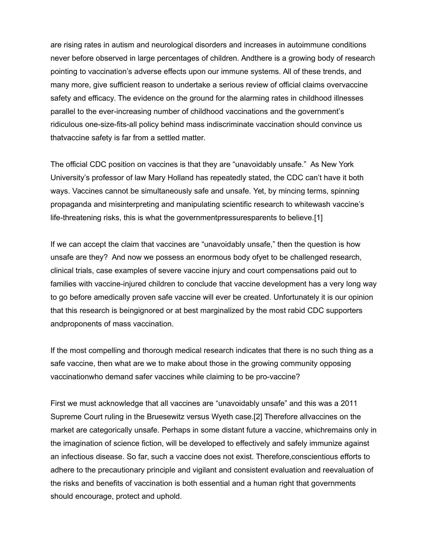are rising rates in autism and neurological disorders and increases in autoimmune conditions never before observed in large percentages of children. Andthere is a growing body of research pointing to vaccination's adverse effects upon our immune systems. All of these trends, and many more, give sufficient reason to undertake a serious review of official claims overvaccine safety and efficacy. The evidence on the ground for the alarming rates in childhood illnesses parallel to the ever-increasing number of childhood vaccinations and the government's ridiculous one-size-fits-all policy behind mass indiscriminate vaccination should convince us thatvaccine safety is far from a settled matter.

The official CDC position on vaccines is that they are "unavoidably unsafe." As New York University's professor of law Mary Holland has repeatedly stated, the CDC can't have it both ways. Vaccines cannot be simultaneously safe and unsafe. Yet, by mincing terms, spinning propaganda and misinterpreting and manipulating scientific research to whitewash vaccine's life-threatening risks, this is what the governmentpressuresparents to believe.[1]

If we can accept the claim that vaccines are "unavoidably unsafe," then the question is how unsafe are they? And now we possess an enormous body ofyet to be challenged research, clinical trials, case examples of severe vaccine injury and court compensations paid out to families with vaccine-injured children to conclude that vaccine development has a very long way to go before amedically proven safe vaccine will ever be created. Unfortunately it is our opinion that this research is beingignored or at best marginalized by the most rabid CDC supporters andproponents of mass vaccination.

If the most compelling and thorough medical research indicates that there is no such thing as a safe vaccine, then what are we to make about those in the growing community opposing vaccinationwho demand safer vaccines while claiming to be pro-vaccine?

First we must acknowledge that all vaccines are "unavoidably unsafe" and this was a 2011 Supreme Court ruling in the Bruesewitz versus Wyeth case.[2] Therefore allvaccines on the market are categorically unsafe. Perhaps in some distant future a vaccine, whichremains only in the imagination of science fiction, will be developed to effectively and safely immunize against an infectious disease. So far, such a vaccine does not exist. Therefore,conscientious efforts to adhere to the precautionary principle and vigilant and consistent evaluation and reevaluation of the risks and benefits of vaccination is both essential and a human right that governments should encourage, protect and uphold.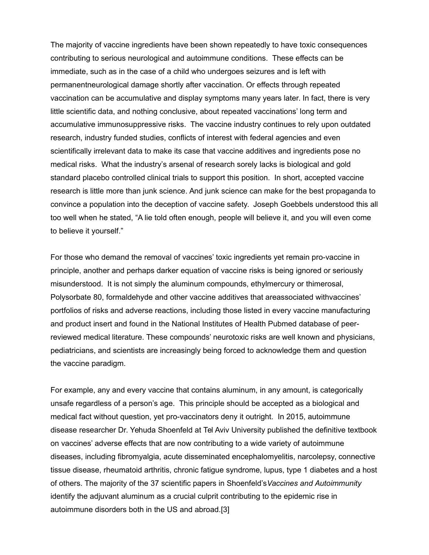The majority of vaccine ingredients have been shown repeatedly to have toxic consequences contributing to serious neurological and autoimmune conditions. These effects can be immediate, such as in the case of a child who undergoes seizures and is left with permanentneurological damage shortly after vaccination. Or effects through repeated vaccination can be accumulative and display symptoms many years later. In fact, there is very little scientific data, and nothing conclusive, about repeated vaccinations' long term and accumulative immunosuppressive risks. The vaccine industry continues to rely upon outdated research, industry funded studies, conflicts of interest with federal agencies and even scientifically irrelevant data to make its case that vaccine additives and ingredients pose no medical risks. What the industry's arsenal of research sorely lacks is biological and gold standard placebo controlled clinical trials to support this position. In short, accepted vaccine research is little more than junk science. And junk science can make for the best propaganda to convince a population into the deception of vaccine safety. Joseph Goebbels understood this all too well when he stated, "A lie told often enough, people will believe it, and you will even come to believe it yourself."

For those who demand the removal of vaccines' toxic ingredients yet remain pro-vaccine in principle, another and perhaps darker equation of vaccine risks is being ignored or seriously misunderstood. It is not simply the aluminum compounds, ethylmercury or thimerosal, Polysorbate 80, formaldehyde and other vaccine additives that areassociated withvaccines' portfolios of risks and adverse reactions, including those listed in every vaccine manufacturing and product insert and found in the National Institutes of Health Pubmed database of peerreviewed medical literature. These compounds' neurotoxic risks are well known and physicians, pediatricians, and scientists are increasingly being forced to acknowledge them and question the vaccine paradigm.

For example, any and every vaccine that contains aluminum, in any amount, is categorically unsafe regardless of a person's age. This principle should be accepted as a biological and medical fact without question, yet pro-vaccinators deny it outright. In 2015, autoimmune disease researcher Dr. Yehuda Shoenfeld at Tel Aviv University published the definitive textbook on vaccines' adverse effects that are now contributing to a wide variety of autoimmune diseases, including fibromyalgia, acute disseminated encephalomyelitis, narcolepsy, connective tissue disease, rheumatoid arthritis, chronic fatigue syndrome, lupus, type 1 diabetes and a host of others. The majority of the 37 scientific papers in Shoenfeld's*Vaccines and Autoimmunity* identify the adjuvant aluminum as a crucial culprit contributing to the epidemic rise in autoimmune disorders both in the US and abroad.[3]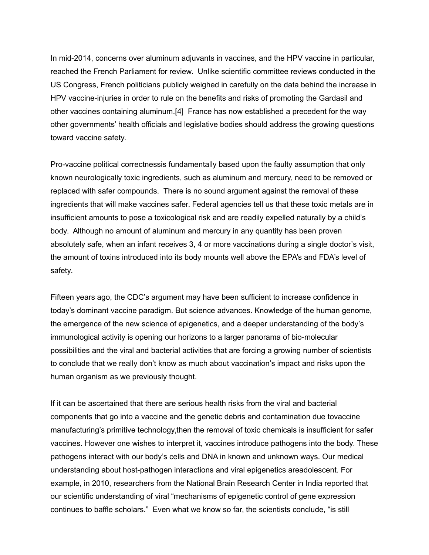In mid-2014, concerns over aluminum adjuvants in vaccines, and the HPV vaccine in particular, reached the French Parliament for review. Unlike scientific committee reviews conducted in the US Congress, French politicians publicly weighed in carefully on the data behind the increase in HPV vaccine-injuries in order to rule on the benefits and risks of promoting the Gardasil and other vaccines containing aluminum.[4] France has now established a precedent for the way other governments' health officials and legislative bodies should address the growing questions toward vaccine safety.

Pro-vaccine political correctnessis fundamentally based upon the faulty assumption that only known neurologically toxic ingredients, such as aluminum and mercury, need to be removed or replaced with safer compounds. There is no sound argument against the removal of these ingredients that will make vaccines safer. Federal agencies tell us that these toxic metals are in insufficient amounts to pose a toxicological risk and are readily expelled naturally by a child's body. Although no amount of aluminum and mercury in any quantity has been proven absolutely safe, when an infant receives 3, 4 or more vaccinations during a single doctor's visit, the amount of toxins introduced into its body mounts well above the EPA's and FDA's level of safety.

Fifteen years ago, the CDC's argument may have been sufficient to increase confidence in today's dominant vaccine paradigm. But science advances. Knowledge of the human genome, the emergence of the new science of epigenetics, and a deeper understanding of the body's immunological activity is opening our horizons to a larger panorama of bio-molecular possibilities and the viral and bacterial activities that are forcing a growing number of scientists to conclude that we really don't know as much about vaccination's impact and risks upon the human organism as we previously thought.

If it can be ascertained that there are serious health risks from the viral and bacterial components that go into a vaccine and the genetic debris and contamination due tovaccine manufacturing's primitive technology,then the removal of toxic chemicals is insufficient for safer vaccines. However one wishes to interpret it, vaccines introduce pathogens into the body. These pathogens interact with our body's cells and DNA in known and unknown ways. Our medical understanding about host-pathogen interactions and viral epigenetics areadolescent. For example, in 2010, researchers from the National Brain Research Center in India reported that our scientific understanding of viral "mechanisms of epigenetic control of gene expression continues to baffle scholars." Even what we know so far, the scientists conclude, "is still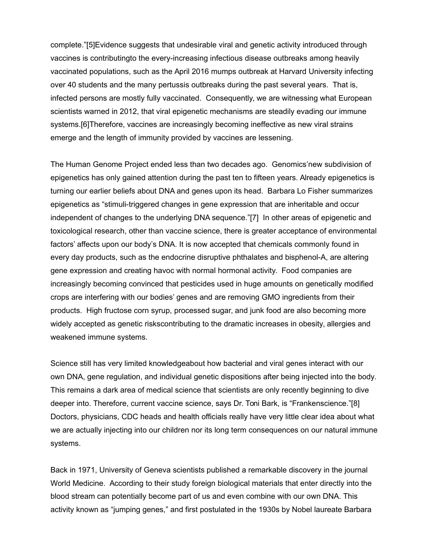complete."[5]Evidence suggests that undesirable viral and genetic activity introduced through vaccines is contributingto the every-increasing infectious disease outbreaks among heavily vaccinated populations, such as the April 2016 mumps outbreak at Harvard University infecting over 40 students and the many pertussis outbreaks during the past several years. That is, infected persons are mostly fully vaccinated. Consequently, we are witnessing what European scientists warned in 2012, that viral epigenetic mechanisms are steadily evading our immune systems.[6]Therefore, vaccines are increasingly becoming ineffective as new viral strains emerge and the length of immunity provided by vaccines are lessening.

The Human Genome Project ended less than two decades ago. Genomics'new subdivision of epigenetics has only gained attention during the past ten to fifteen years. Already epigenetics is turning our earlier beliefs about DNA and genes upon its head. Barbara Lo Fisher summarizes epigenetics as "stimuli-triggered changes in gene expression that are inheritable and occur independent of changes to the underlying DNA sequence."[7] In other areas of epigenetic and toxicological research, other than vaccine science, there is greater acceptance of environmental factors' affects upon our body's DNA. It is now accepted that chemicals commonly found in every day products, such as the endocrine disruptive phthalates and bisphenol-A, are altering gene expression and creating havoc with normal hormonal activity. Food companies are increasingly becoming convinced that pesticides used in huge amounts on genetically modified crops are interfering with our bodies' genes and are removing GMO ingredients from their products. High fructose corn syrup, processed sugar, and junk food are also becoming more widely accepted as genetic riskscontributing to the dramatic increases in obesity, allergies and weakened immune systems.

Science still has very limited knowledgeabout how bacterial and viral genes interact with our own DNA, gene regulation, and individual genetic dispositions after being injected into the body. This remains a dark area of medical science that scientists are only recently beginning to dive deeper into. Therefore, current vaccine science, says Dr. Toni Bark, is "Frankenscience."[8] Doctors, physicians, CDC heads and health officials really have very little clear idea about what we are actually injecting into our children nor its long term consequences on our natural immune systems.

Back in 1971, University of Geneva scientists published a remarkable discovery in the journal World Medicine. According to their study foreign biological materials that enter directly into the blood stream can potentially become part of us and even combine with our own DNA. This activity known as "jumping genes," and first postulated in the 1930s by Nobel laureate Barbara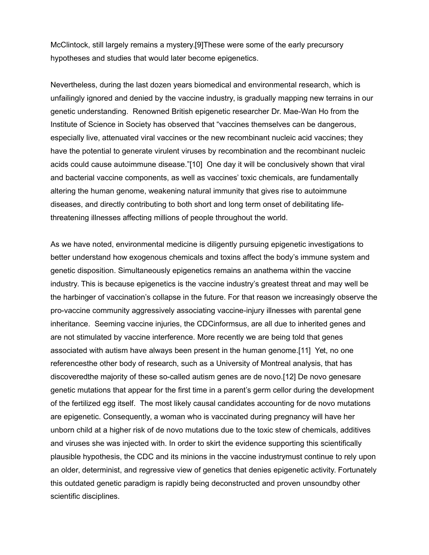McClintock, still largely remains a mystery.[9]These were some of the early precursory hypotheses and studies that would later become epigenetics.

Nevertheless, during the last dozen years biomedical and environmental research, which is unfailingly ignored and denied by the vaccine industry, is gradually mapping new terrains in our genetic understanding. Renowned British epigenetic researcher Dr. Mae-Wan Ho from the Institute of Science in Society has observed that "vaccines themselves can be dangerous, especially live, attenuated viral vaccines or the new recombinant nucleic acid vaccines; they have the potential to generate virulent viruses by recombination and the recombinant nucleic acids could cause autoimmune disease."[10] One day it will be conclusively shown that viral and bacterial vaccine components, as well as vaccines' toxic chemicals, are fundamentally altering the human genome, weakening natural immunity that gives rise to autoimmune diseases, and directly contributing to both short and long term onset of debilitating lifethreatening illnesses affecting millions of people throughout the world.

As we have noted, environmental medicine is diligently pursuing epigenetic investigations to better understand how exogenous chemicals and toxins affect the body's immune system and genetic disposition. Simultaneously epigenetics remains an anathema within the vaccine industry. This is because epigenetics is the vaccine industry's greatest threat and may well be the harbinger of vaccination's collapse in the future. For that reason we increasingly observe the pro-vaccine community aggressively associating vaccine-injury illnesses with parental gene inheritance. Seeming vaccine injuries, the CDCinformsus, are all due to inherited genes and are not stimulated by vaccine interference. More recently we are being told that genes associated with autism have always been present in the human genome.[11] Yet, no one referencesthe other body of research, such as a University of Montreal analysis, that has discoveredthe majority of these so-called autism genes are de novo.[12] De novo genesare genetic mutations that appear for the first time in a parent's germ cellor during the development of the fertilized egg itself. The most likely causal candidates accounting for de novo mutations are epigenetic. Consequently, a woman who is vaccinated during pregnancy will have her unborn child at a higher risk of de novo mutations due to the toxic stew of chemicals, additives and viruses she was injected with. In order to skirt the evidence supporting this scientifically plausible hypothesis, the CDC and its minions in the vaccine industrymust continue to rely upon an older, determinist, and regressive view of genetics that denies epigenetic activity. Fortunately this outdated genetic paradigm is rapidly being deconstructed and proven unsoundby other scientific disciplines.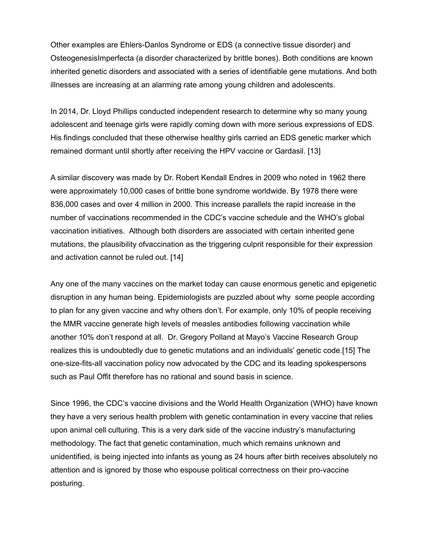Other examples are Ehlers-Danlos Syndrome or EDS (a connective tissue disorder) and OsteogenesisImperfecta (a disorder characterized by brittle bones). Both conditions are known inherited genetic disorders and associated with a series of identifiable gene mutations. And both illnesses are increasing at an alarming rate among young children and adolescents.

In 2014, Dr. Lloyd Phillips conducted independent research to determine why so many young adolescent and teenage girls were rapidly coming down with more serious expressions of EDS. His findings concluded that these otherwise healthy girls carried an EDS genetic marker which remained dormant until shortly after receiving the HPV vaccine or Gardasil. [13]

A similar discovery was made by Dr. Robert Kendall Endres in 2009 who noted in 1962 there were approximately 10,000 cases of brittle bone syndrome worldwide. By 1978 there were 836,000 cases and over 4 million in 2000. This increase parallels the rapid increase in the number of vaccinations recommended in the CDC's vaccine schedule and the WHO's global vaccination initiatives. Although both disorders are associated with certain inherited gene mutations, the plausibility ofvaccination as the triggering culprit responsible for their expression and activation cannot be ruled out. [14]

Any one of the many vaccines on the market today can cause enormous genetic and epigenetic disruption in any human being. Epidemiologists are puzzled about why some people according to plan for any given vaccine and why others don't. For example, only 10% of people receiving the MMR vaccine generate high levels of measles antibodies following vaccination while another 10% don't respond at all. Dr. Gregory Polland at Mayo's Vaccine Research Group realizes this is undoubtedly due to genetic mutations and an individuals' genetic code.[15] The one-size-fits-all vaccination policy now advocated by the CDC and its leading spokespersons such as Paul Offit therefore has no rational and sound basis in science.

Since 1996, the CDC's vaccine divisions and the World Health Organization (WHO) have known they have a very serious health problem with genetic contamination in every vaccine that relies upon animal cell culturing. This is a very dark side of the vaccine industry's manufacturing methodology. The fact that genetic contamination, much which remains unknown and unidentified, is being injected into infants as young as 24 hours after birth receives absolutely no attention and is ignored by those who espouse political correctness on their pro-vaccine posturing.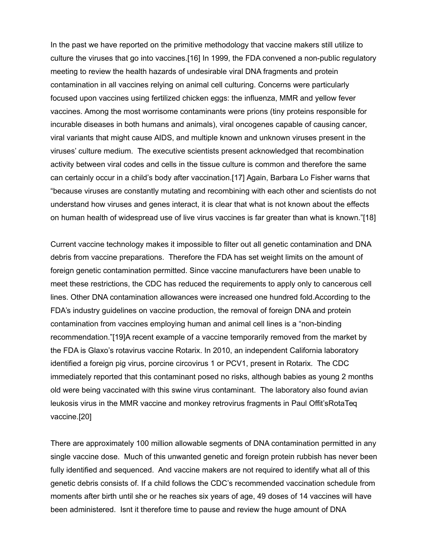In the past we have reported on the primitive methodology that vaccine makers still utilize to culture the viruses that go into vaccines.[16] In 1999, the FDA convened a non-public regulatory meeting to review the health hazards of undesirable viral DNA fragments and protein contamination in all vaccines relying on animal cell culturing. Concerns were particularly focused upon vaccines using fertilized chicken eggs: the influenza, MMR and yellow fever vaccines. Among the most worrisome contaminants were prions (tiny proteins responsible for incurable diseases in both humans and animals), viral oncogenes capable of causing cancer, viral variants that might cause AIDS, and multiple known and unknown viruses present in the viruses' culture medium. The executive scientists present acknowledged that recombination activity between viral codes and cells in the tissue culture is common and therefore the same can certainly occur in a child's body after vaccination.[17] Again, Barbara Lo Fisher warns that "because viruses are constantly mutating and recombining with each other and scientists do not understand how viruses and genes interact, it is clear that what is not known about the effects on human health of widespread use of live virus vaccines is far greater than what is known."[18]

Current vaccine technology makes it impossible to filter out all genetic contamination and DNA debris from vaccine preparations. Therefore the FDA has set weight limits on the amount of foreign genetic contamination permitted. Since vaccine manufacturers have been unable to meet these restrictions, the CDC has reduced the requirements to apply only to cancerous cell lines. Other DNA contamination allowances were increased one hundred fold.According to the FDA's industry guidelines on vaccine production, the removal of foreign DNA and protein contamination from vaccines employing human and animal cell lines is a "non-binding recommendation."[19]A recent example of a vaccine temporarily removed from the market by the FDA is Glaxo's rotavirus vaccine Rotarix. In 2010, an independent California laboratory identified a foreign pig virus, porcine circovirus 1 or PCV1, present in Rotarix. The CDC immediately reported that this contaminant posed no risks, although babies as young 2 months old were being vaccinated with this swine virus contaminant. The laboratory also found avian leukosis virus in the MMR vaccine and monkey retrovirus fragments in Paul Offit'sRotaTeq vaccine.[20]

There are approximately 100 million allowable segments of DNA contamination permitted in any single vaccine dose. Much of this unwanted genetic and foreign protein rubbish has never been fully identified and sequenced. And vaccine makers are not required to identify what all of this genetic debris consists of. If a child follows the CDC's recommended vaccination schedule from moments after birth until she or he reaches six years of age, 49 doses of 14 vaccines will have been administered. Isnt it therefore time to pause and review the huge amount of DNA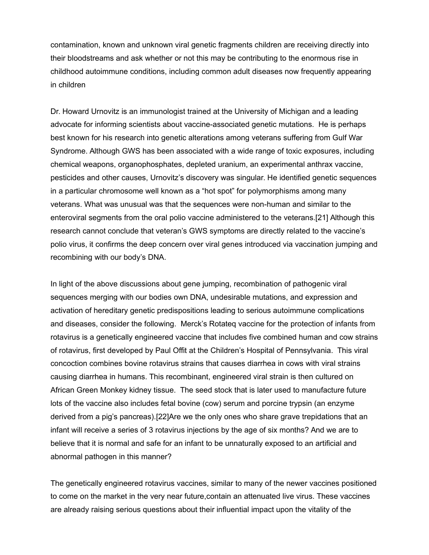contamination, known and unknown viral genetic fragments children are receiving directly into their bloodstreams and ask whether or not this may be contributing to the enormous rise in childhood autoimmune conditions, including common adult diseases now frequently appearing in children

Dr. Howard Urnovitz is an immunologist trained at the University of Michigan and a leading advocate for informing scientists about vaccine-associated genetic mutations. He is perhaps best known for his research into genetic alterations among veterans suffering from Gulf War Syndrome. Although GWS has been associated with a wide range of toxic exposures, including chemical weapons, organophosphates, depleted uranium, an experimental anthrax vaccine, pesticides and other causes, Urnovitz's discovery was singular. He identified genetic sequences in a particular chromosome well known as a "hot spot" for polymorphisms among many veterans. What was unusual was that the sequences were non-human and similar to the enteroviral segments from the oral polio vaccine administered to the veterans.[21] Although this research cannot conclude that veteran's GWS symptoms are directly related to the vaccine's polio virus, it confirms the deep concern over viral genes introduced via vaccination jumping and recombining with our body's DNA.

In light of the above discussions about gene jumping, recombination of pathogenic viral sequences merging with our bodies own DNA, undesirable mutations, and expression and activation of hereditary genetic predispositions leading to serious autoimmune complications and diseases, consider the following. Merck's Rotateq vaccine for the protection of infants from rotavirus is a genetically engineered vaccine that includes five combined human and cow strains of rotavirus, first developed by Paul Offit at the Children's Hospital of Pennsylvania. This viral concoction combines bovine rotavirus strains that causes diarrhea in cows with viral strains causing diarrhea in humans. This recombinant, engineered viral strain is then cultured on African Green Monkey kidney tissue. The seed stock that is later used to manufacture future lots of the vaccine also includes fetal bovine (cow) serum and porcine trypsin (an enzyme derived from a pig's pancreas).[22]Are we the only ones who share grave trepidations that an infant will receive a series of 3 rotavirus injections by the age of six months? And we are to believe that it is normal and safe for an infant to be unnaturally exposed to an artificial and abnormal pathogen in this manner?

The genetically engineered rotavirus vaccines, similar to many of the newer vaccines positioned to come on the market in the very near future,contain an attenuated live virus. These vaccines are already raising serious questions about their influential impact upon the vitality of the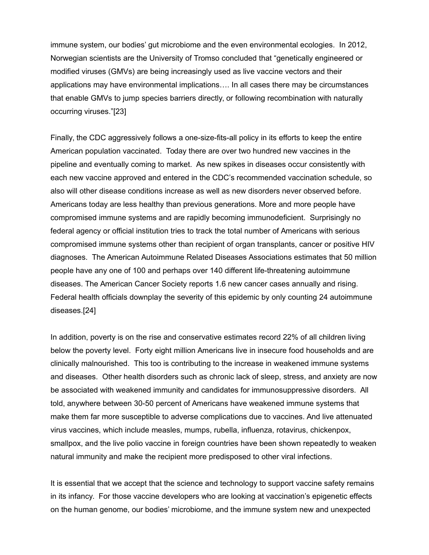immune system, our bodies' gut microbiome and the even environmental ecologies. In 2012, Norwegian scientists are the University of Tromso concluded that "genetically engineered or modified viruses (GMVs) are being increasingly used as live vaccine vectors and their applications may have environmental implications…. In all cases there may be circumstances that enable GMVs to jump species barriers directly, or following recombination with naturally occurring viruses."[23]

Finally, the CDC aggressively follows a one-size-fits-all policy in its efforts to keep the entire American population vaccinated. Today there are over two hundred new vaccines in the pipeline and eventually coming to market. As new spikes in diseases occur consistently with each new vaccine approved and entered in the CDC's recommended vaccination schedule, so also will other disease conditions increase as well as new disorders never observed before. Americans today are less healthy than previous generations. More and more people have compromised immune systems and are rapidly becoming immunodeficient. Surprisingly no federal agency or official institution tries to track the total number of Americans with serious compromised immune systems other than recipient of organ transplants, cancer or positive HIV diagnoses. The American Autoimmune Related Diseases Associations estimates that 50 million people have any one of 100 and perhaps over 140 different life-threatening autoimmune diseases. The American Cancer Society reports 1.6 new cancer cases annually and rising. Federal health officials downplay the severity of this epidemic by only counting 24 autoimmune diseases.[24]

In addition, poverty is on the rise and conservative estimates record 22% of all children living below the poverty level. Forty eight million Americans live in insecure food households and are clinically malnourished. This too is contributing to the increase in weakened immune systems and diseases. Other health disorders such as chronic lack of sleep, stress, and anxiety are now be associated with weakened immunity and candidates for immunosuppressive disorders. All told, anywhere between 30-50 percent of Americans have weakened immune systems that make them far more susceptible to adverse complications due to vaccines. And live attenuated virus vaccines, which include measles, mumps, rubella, influenza, rotavirus, chickenpox, smallpox, and the live polio vaccine in foreign countries have been shown repeatedly to weaken natural immunity and make the recipient more predisposed to other viral infections.

It is essential that we accept that the science and technology to support vaccine safety remains in its infancy. For those vaccine developers who are looking at vaccination's epigenetic effects on the human genome, our bodies' microbiome, and the immune system new and unexpected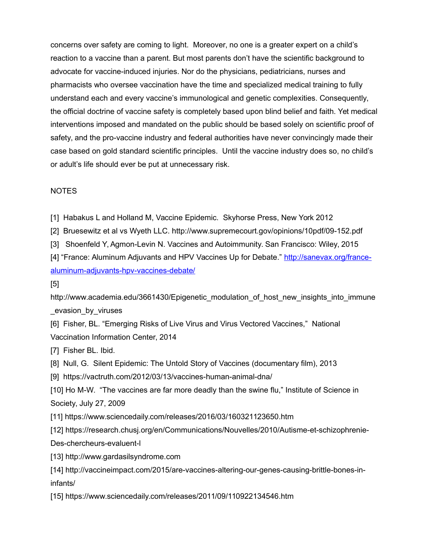concerns over safety are coming to light. Moreover, no one is a greater expert on a child's reaction to a vaccine than a parent. But most parents don't have the scientific background to advocate for vaccine-induced injuries. Nor do the physicians, pediatricians, nurses and pharmacists who oversee vaccination have the time and specialized medical training to fully understand each and every vaccine's immunological and genetic complexities. Consequently, the official doctrine of vaccine safety is completely based upon blind belief and faith. Yet medical interventions imposed and mandated on the public should be based solely on scientific proof of safety, and the pro-vaccine industry and federal authorities have never convincingly made their case based on gold standard scientific principles. Until the vaccine industry does so, no child's or adult's life should ever be put at unnecessary risk.

## NOTES

[1] Habakus L and Holland M, Vaccine Epidemic. Skyhorse Press, New York 2012

[2] Bruesewitz et al vs Wyeth LLC. http://www.supremecourt.gov/opinions/10pdf/09-152.pdf

[3] Shoenfeld Y, Agmon-Levin N. Vaccines and Autoimmunity. San Francisco: Wiley, 2015

[4] "France: Aluminum Adjuvants and HPV Vaccines Up for Debate." [http://sanevax.org/france](http://sanevax.org/france-aluminum-adjuvants-hpv-vaccines-debate/)[aluminum-adjuvants-hpv-vaccines-debate/](http://sanevax.org/france-aluminum-adjuvants-hpv-vaccines-debate/)

[5]

http://www.academia.edu/3661430/Epigenetic\_modulation\_of\_host\_new\_insights\_into\_immune \_evasion\_by\_viruses

[6] Fisher, BL. "Emerging Risks of Live Virus and Virus Vectored Vaccines," National Vaccination Information Center, 2014

[7] Fisher BL. Ibid.

[8] Null, G. Silent Epidemic: The Untold Story of Vaccines (documentary film), 2013

[9] https://vactruth.com/2012/03/13/vaccines-human-animal-dna/

[10] Ho M-W. "The vaccines are far more deadly than the swine flu," Institute of Science in Society, July 27, 2009

[11] https://www.sciencedaily.com/releases/2016/03/160321123650.htm

[12] https://research.chusj.org/en/Communications/Nouvelles/2010/Autisme-et-schizophrenie-Des-chercheurs-evaluent-l

[13] http://www.gardasilsyndrome.com

[14] http://vaccineimpact.com/2015/are-vaccines-altering-our-genes-causing-brittle-bones-ininfants/

[15] https://www.sciencedaily.com/releases/2011/09/110922134546.htm